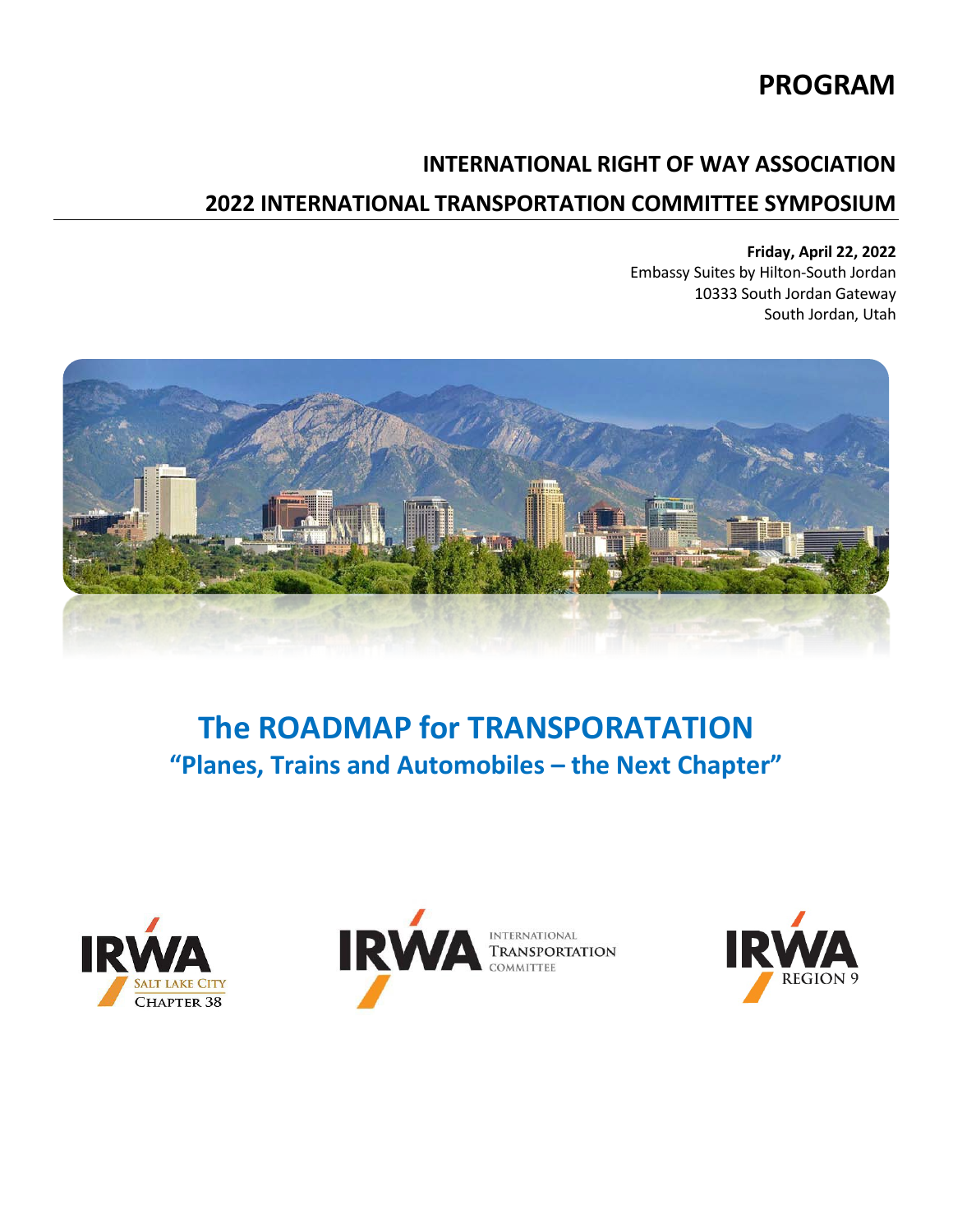# **PROGRAM**

## **INTERNATIONAL RIGHT OF WAY ASSOCIATION**

## **2022 INTERNATIONAL TRANSPORTATION COMMITTEE SYMPOSIUM**

## **Friday, April 22, 2022**

Embassy Suites by Hilton-South Jordan 10333 South Jordan Gateway South Jordan, Utah



# **The ROADMAP for TRANSPORATATION "Planes, Trains and Automobiles – the Next Chapter"**





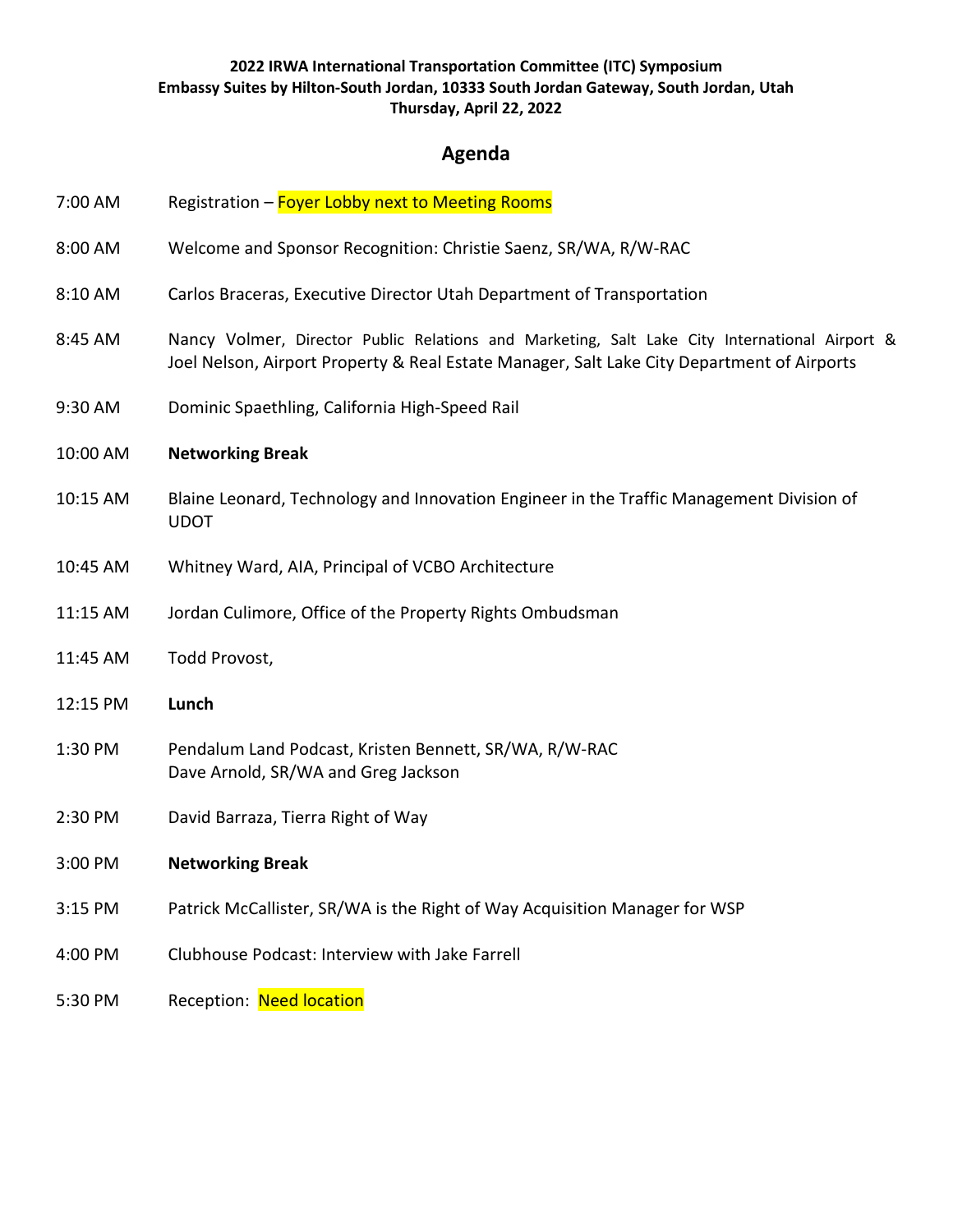## **Agenda**

- 7:00 AM Registration Foyer Lobby next to Meeting Rooms
- 8:00 AM Welcome and Sponsor Recognition: Christie Saenz, SR/WA, R/W-RAC
- 8:10 AM Carlos Braceras, Executive Director Utah Department of Transportation
- 8:45 AM Nancy Volmer, Director Public Relations and Marketing, Salt Lake City International Airport & Joel Nelson, Airport Property & Real Estate Manager, Salt Lake City Department of Airports
- 9:30 AM Dominic Spaethling, California High-Speed Rail

#### 10:00 AM **Networking Break**

- 10:15 AM Blaine Leonard, Technology and Innovation Engineer in the Traffic Management Division of UDOT
- 10:45 AM Whitney Ward, AIA, Principal of VCBO Architecture
- 11:15 AM Jordan Culimore, Office of the Property Rights Ombudsman
- 11:45 AM Todd Provost,
- 12:15 PM **Lunch**
- 1:30 PM Pendalum Land Podcast, Kristen Bennett, SR/WA, R/W-RAC Dave Arnold, SR/WA and Greg Jackson
- 2:30 PM David Barraza, Tierra Right of Way
- 3:00 PM **Networking Break**
- 3:15 PM Patrick McCallister, SR/WA is the Right of Way Acquisition Manager for WSP
- 4:00 PM Clubhouse Podcast: Interview with Jake Farrell
- 5:30 PM Reception: Need location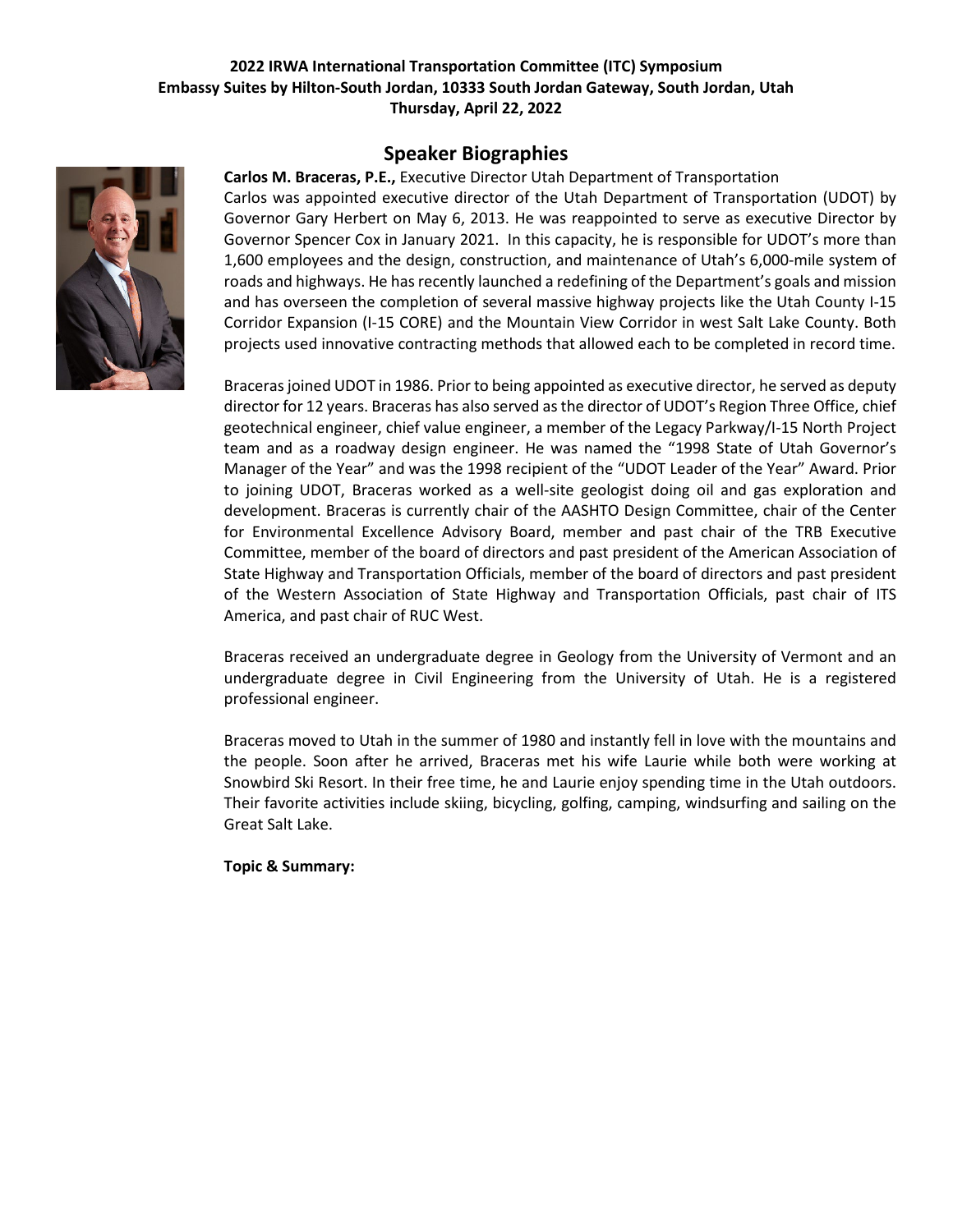## **Speaker Biographies**

**Carlos M. Braceras, P.E.,** Executive Director Utah Department of Transportation Carlos was appointed executive director of the Utah Department of Transportation (UDOT) by Governor Gary Herbert on May 6, 2013. He was reappointed to serve as executive Director by Governor Spencer Cox in January 2021. In this capacity, he is responsible for UDOT's more than 1,600 employees and the design, construction, and maintenance of Utah's 6,000-mile system of roads and highways. He has recently launched a redefining of the Department's goals and mission and has overseen the completion of several massive highway projects like the Utah County I-15 Corridor Expansion (I-15 CORE) and the Mountain View Corridor in west Salt Lake County. Both projects used innovative contracting methods that allowed each to be completed in record time.

Braceras joined UDOT in 1986. Prior to being appointed as executive director, he served as deputy director for 12 years. Braceras has also served as the director of UDOT's Region Three Office, chief geotechnical engineer, chief value engineer, a member of the Legacy Parkway/I-15 North Project team and as a roadway design engineer. He was named the "1998 State of Utah Governor's Manager of the Year" and was the 1998 recipient of the "UDOT Leader of the Year" Award. Prior to joining UDOT, Braceras worked as a well-site geologist doing oil and gas exploration and development. Braceras is currently chair of the AASHTO Design Committee, chair of the Center for Environmental Excellence Advisory Board, member and past chair of the TRB Executive Committee, member of the board of directors and past president of the American Association of State Highway and Transportation Officials, member of the board of directors and past president of the Western Association of State Highway and Transportation Officials, past chair of ITS America, and past chair of RUC West.

Braceras received an undergraduate degree in Geology from the University of Vermont and an undergraduate degree in Civil Engineering from the University of Utah. He is a registered professional engineer.

Braceras moved to Utah in the summer of 1980 and instantly fell in love with the mountains and the people. Soon after he arrived, Braceras met his wife Laurie while both were working at Snowbird Ski Resort. In their free time, he and Laurie enjoy spending time in the Utah outdoors. Their favorite activities include skiing, bicycling, golfing, camping, windsurfing and sailing on the Great Salt Lake.

**Topic & Summary:**

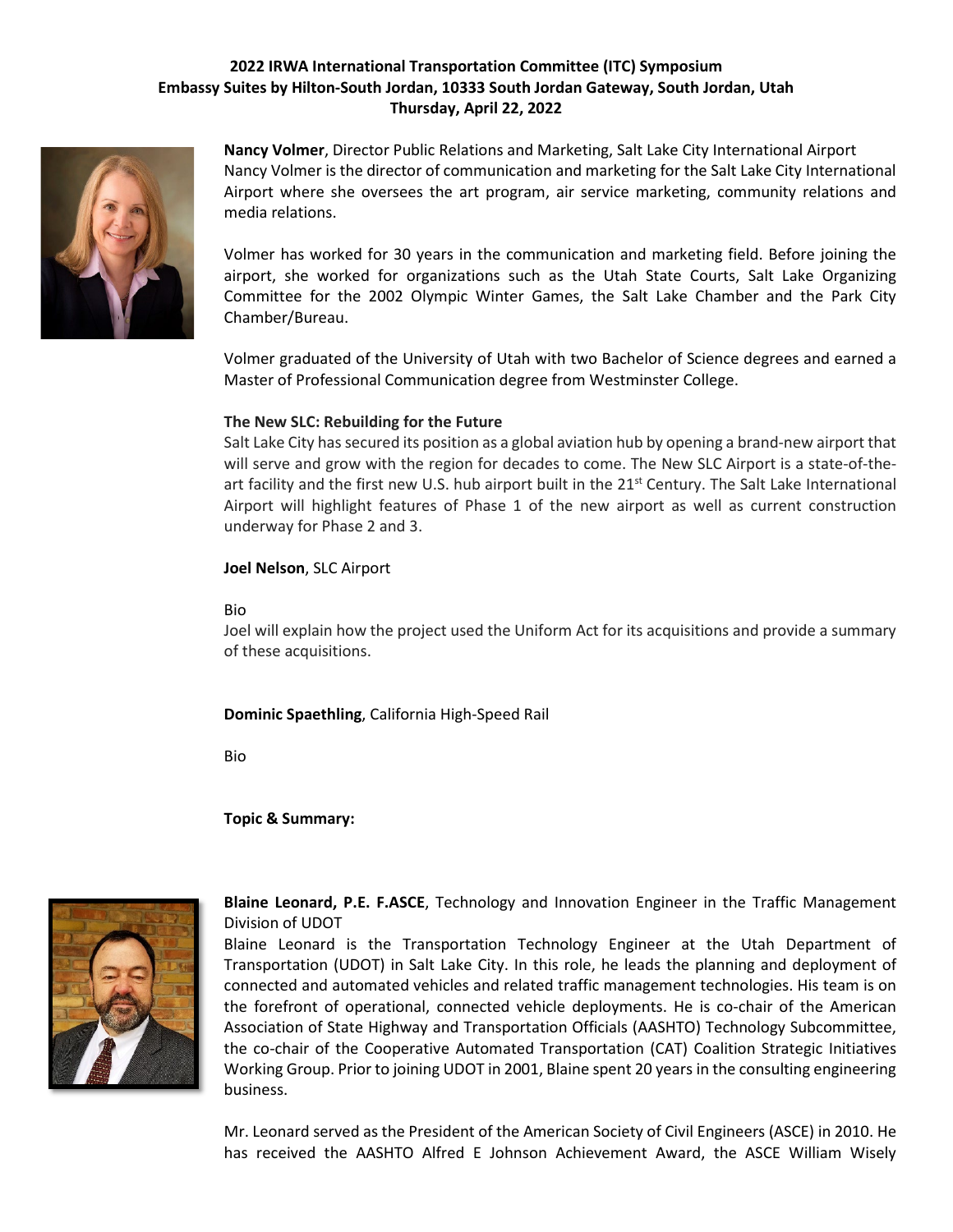

**Nancy Volmer**, Director Public Relations and Marketing, Salt Lake City International Airport Nancy Volmer is the director of communication and marketing for the Salt Lake City International Airport where she oversees the art program, air service marketing, community relations and media relations.

Volmer has worked for 30 years in the communication and marketing field. Before joining the airport, she worked for organizations such as the Utah State Courts, Salt Lake Organizing Committee for the 2002 Olympic Winter Games, the Salt Lake Chamber and the Park City Chamber/Bureau.

Volmer graduated of the University of Utah with two Bachelor of Science degrees and earned a Master of Professional Communication degree from Westminster College.

#### **The New SLC: Rebuilding for the Future**

Salt Lake City has secured its position as a global aviation hub by opening a brand-new airport that will serve and grow with the region for decades to come. The New SLC Airport is a state-of-theart facility and the first new U.S. hub airport built in the  $21<sup>st</sup>$  Century. The Salt Lake International Airport will highlight features of Phase 1 of the new airport as well as current construction underway for Phase 2 and 3.

#### **Joel Nelson**, SLC Airport

#### Bio

Joel will explain how the project used the Uniform Act for its acquisitions and provide a summary of these acquisitions.

**Dominic Spaethling**, California High-Speed Rail

Bio

**Topic & Summary:**



**Blaine Leonard, P.E. F.ASCE**, Technology and Innovation Engineer in the Traffic Management Division of UDOT

Blaine Leonard is the Transportation Technology Engineer at the Utah Department of Transportation (UDOT) in Salt Lake City. In this role, he leads the planning and deployment of connected and automated vehicles and related traffic management technologies. His team is on the forefront of operational, connected vehicle deployments. He is co-chair of the American Association of State Highway and Transportation Officials (AASHTO) Technology Subcommittee, the co-chair of the Cooperative Automated Transportation (CAT) Coalition Strategic Initiatives Working Group. Prior to joining UDOT in 2001, Blaine spent 20 years in the consulting engineering business.

Mr. Leonard served as the President of the American Society of Civil Engineers (ASCE) in 2010. He has received the AASHTO Alfred E Johnson Achievement Award, the ASCE William Wisely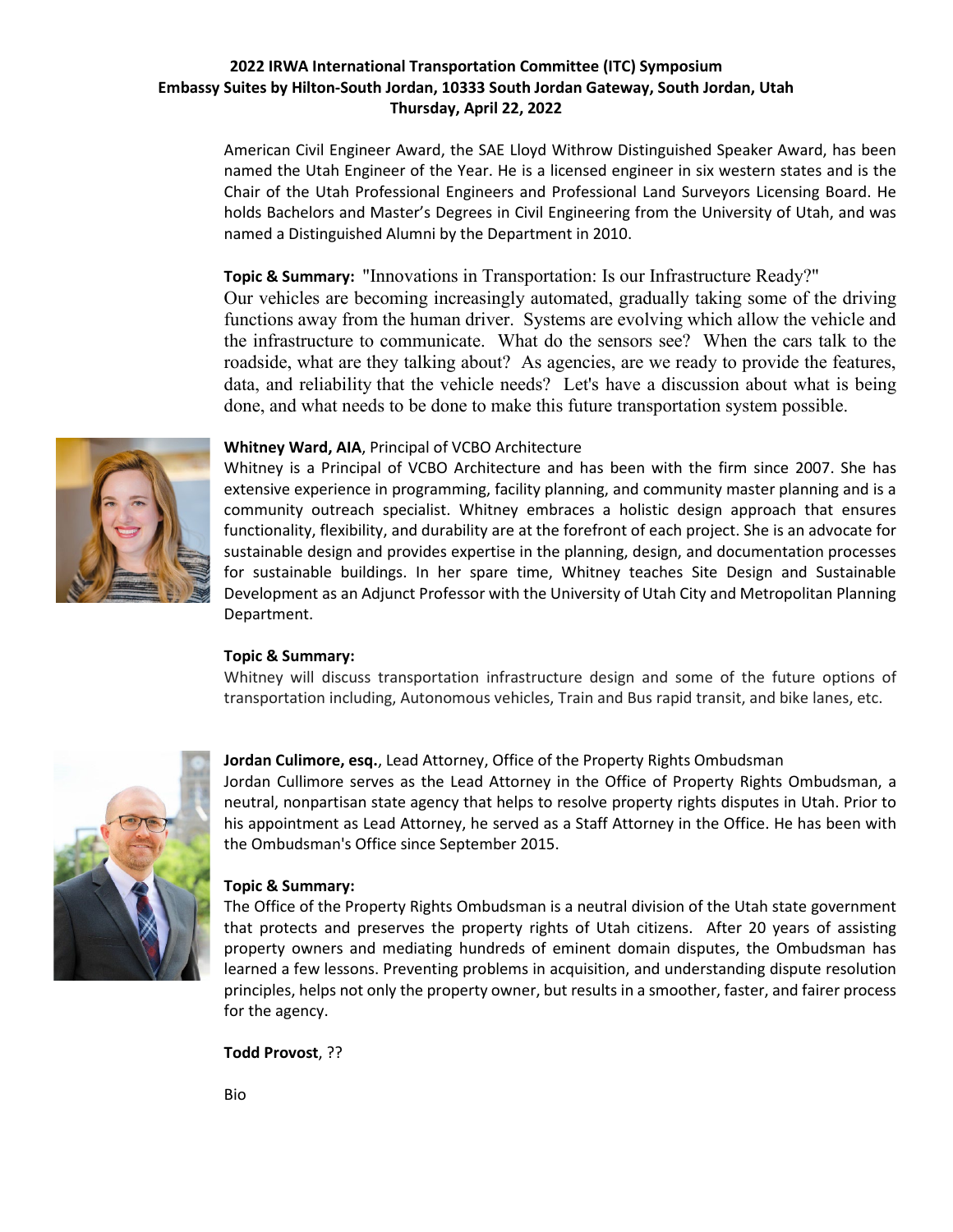American Civil Engineer Award, the SAE Lloyd Withrow Distinguished Speaker Award, has been named the Utah Engineer of the Year. He is a licensed engineer in six western states and is the Chair of the Utah Professional Engineers and Professional Land Surveyors Licensing Board. He holds Bachelors and Master's Degrees in Civil Engineering from the University of Utah, and was named a Distinguished Alumni by the Department in 2010.

## **Topic & Summary:** "Innovations in Transportation: Is our Infrastructure Ready?"

Our vehicles are becoming increasingly automated, gradually taking some of the driving functions away from the human driver. Systems are evolving which allow the vehicle and the infrastructure to communicate. What do the sensors see? When the cars talk to the roadside, what are they talking about? As agencies, are we ready to provide the features, data, and reliability that the vehicle needs? Let's have a discussion about what is being done, and what needs to be done to make this future transportation system possible.



#### **Whitney Ward, AIA**, Principal of VCBO Architecture

Whitney is a Principal of VCBO Architecture and has been with the firm since 2007. She has extensive experience in programming, facility planning, and community master planning and is a community outreach specialist. Whitney embraces a holistic design approach that ensures functionality, flexibility, and durability are at the forefront of each project. She is an advocate for sustainable design and provides expertise in the planning, design, and documentation processes for sustainable buildings. In her spare time, Whitney teaches Site Design and Sustainable Development as an Adjunct Professor with the University of Utah City and Metropolitan Planning Department.

#### **Topic & Summary:**

Whitney will discuss transportation infrastructure design and some of the future options of transportation including, Autonomous vehicles, Train and Bus rapid transit, and bike lanes, etc.



#### **Jordan Culimore, esq.**, Lead Attorney, Office of the Property Rights Ombudsman

Jordan Cullimore serves as the Lead Attorney in the Office of Property Rights Ombudsman, a neutral, nonpartisan state agency that helps to resolve property rights disputes in Utah. Prior to his appointment as Lead Attorney, he served as a Staff Attorney in the Office. He has been with the Ombudsman's Office since September 2015.

#### **Topic & Summary:**

The Office of the Property Rights Ombudsman is a neutral division of the Utah state government that protects and preserves the property rights of Utah citizens. After 20 years of assisting property owners and mediating hundreds of eminent domain disputes, the Ombudsman has learned a few lessons. Preventing problems in acquisition, and understanding dispute resolution principles, helps not only the property owner, but results in a smoother, faster, and fairer process for the agency.

**Todd Provost**, ??

Bio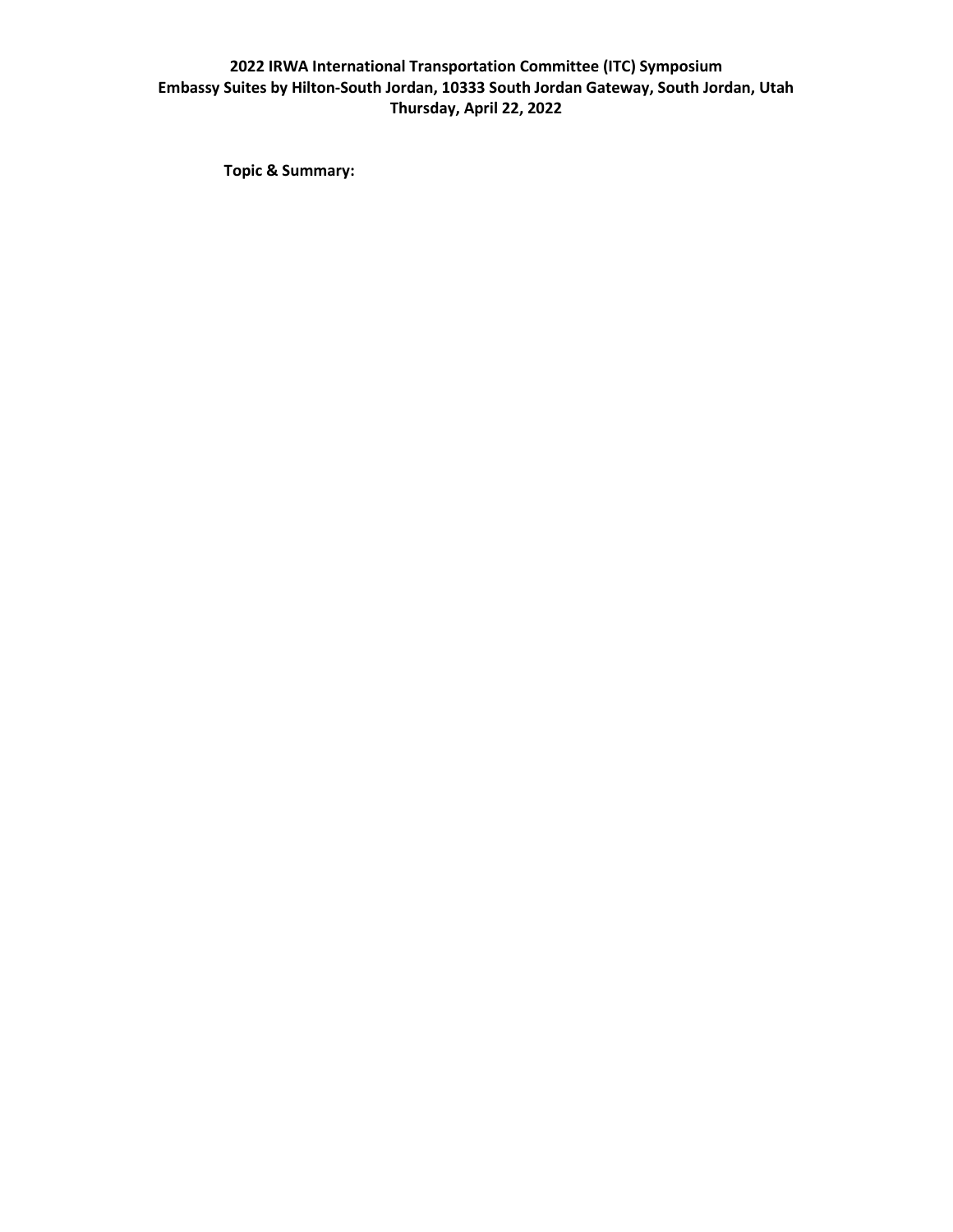**Topic & Summary:**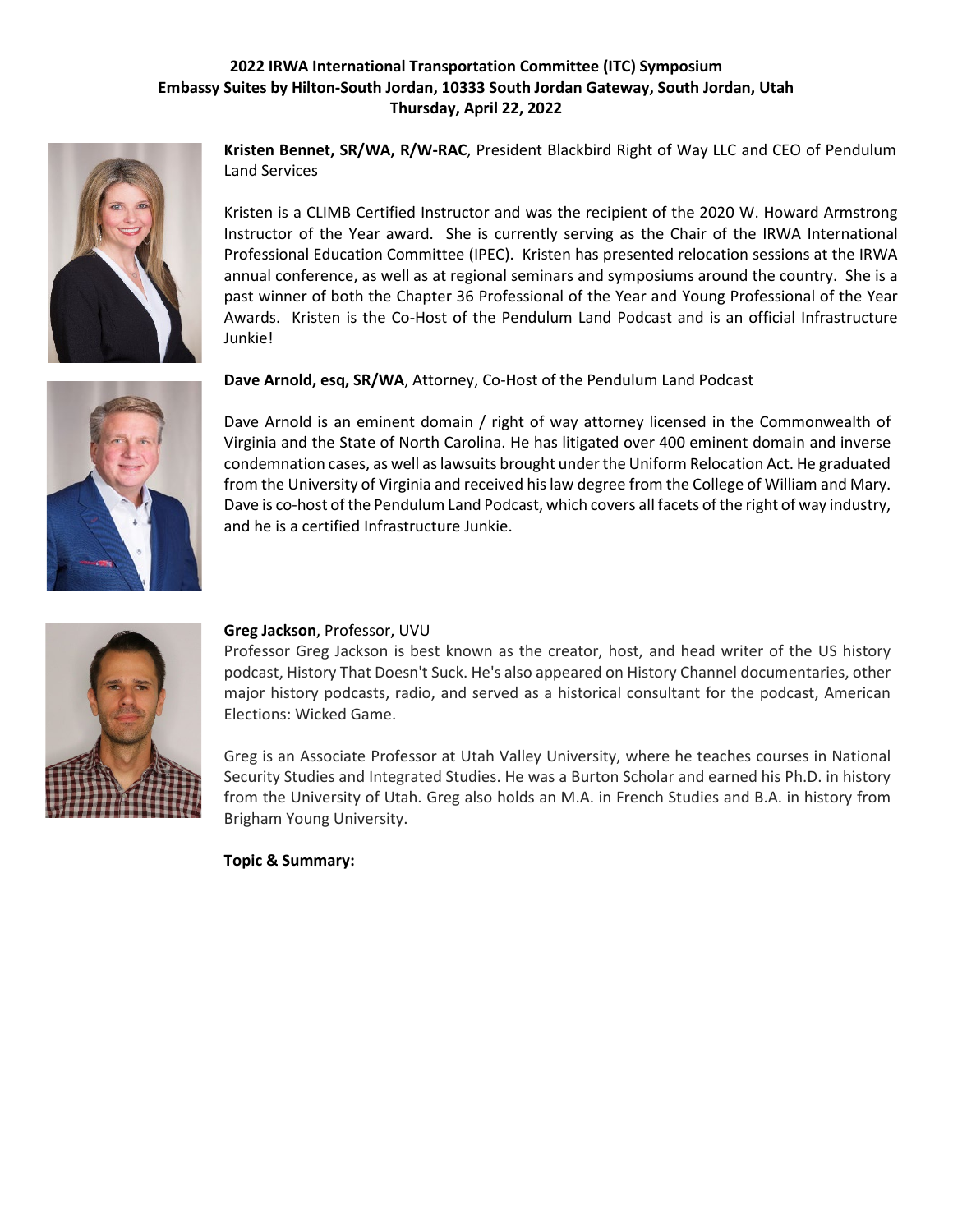

**Kristen Bennet, SR/WA, R/W-RAC**, President Blackbird Right of Way LLC and CEO of Pendulum Land Services

Kristen is a CLIMB Certified Instructor and was the recipient of the 2020 W. Howard Armstrong Instructor of the Year award. She is currently serving as the Chair of the IRWA International Professional Education Committee (IPEC). Kristen has presented relocation sessions at the IRWA annual conference, as well as at regional seminars and symposiums around the country. She is a past winner of both the Chapter 36 Professional of the Year and Young Professional of the Year Awards. Kristen is the Co-Host of the Pendulum Land Podcast and is an official Infrastructure Junkie!

**Dave Arnold, esq, SR/WA**, Attorney, Co-Host of the Pendulum Land Podcast



Dave Arnold is an eminent domain / right of way attorney licensed in the Commonwealth of Virginia and the State of North Carolina. He has litigated over 400 eminent domain and inverse condemnation cases, as well as lawsuits brought under the Uniform Relocation Act. He graduated from the University of Virginia and received his law degree from the College of William and Mary. Dave is co-host of the Pendulum Land Podcast, which covers all facets of the right of way industry, and he is a certified Infrastructure Junkie.

![](_page_6_Picture_7.jpeg)

## **Greg Jackson**, Professor, UVU

Professor Greg Jackson is best known as the creator, host, and head writer of the US history podcast, History That Doesn't Suck. He's also appeared on History Channel documentaries, other major history podcasts, radio, and served as a historical consultant for the podcast, American Elections: Wicked Game.

Greg is an Associate Professor at Utah Valley University, where he teaches courses in National Security Studies and Integrated Studies. He was a Burton Scholar and earned his Ph.D. in history from the University of Utah. Greg also holds an M.A. in French Studies and B.A. in history from Brigham Young University.

**Topic & Summary:**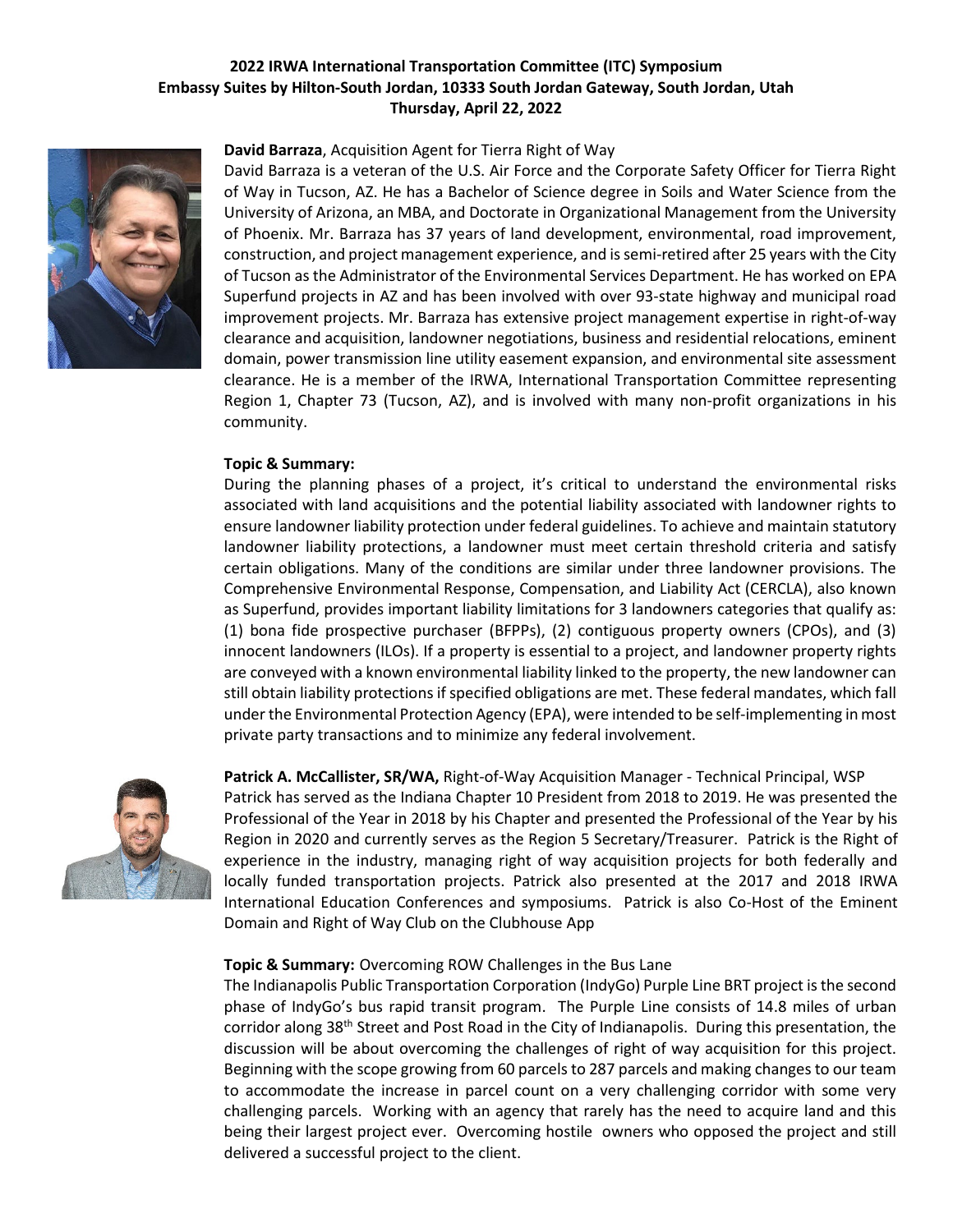![](_page_7_Picture_1.jpeg)

**David Barraza**, Acquisition Agent for Tierra Right of Way

David Barraza is a veteran of the U.S. Air Force and the Corporate Safety Officer for Tierra Right of Way in Tucson, AZ. He has a Bachelor of Science degree in Soils and Water Science from the University of Arizona, an MBA, and Doctorate in Organizational Management from the University of Phoenix. Mr. Barraza has 37 years of land development, environmental, road improvement, construction, and project management experience, and is semi-retired after 25 years with the City of Tucson as the Administrator of the Environmental Services Department. He has worked on EPA Superfund projects in AZ and has been involved with over 93-state highway and municipal road improvement projects. Mr. Barraza has extensive project management expertise in right-of-way clearance and acquisition, landowner negotiations, business and residential relocations, eminent domain, power transmission line utility easement expansion, and environmental site assessment clearance. He is a member of the IRWA, International Transportation Committee representing Region 1, Chapter 73 (Tucson, AZ), and is involved with many non-profit organizations in his community.

#### **Topic & Summary:**

During the planning phases of a project, it's critical to understand the environmental risks associated with land acquisitions and the potential liability associated with landowner rights to ensure landowner liability protection under federal guidelines. To achieve and maintain statutory landowner liability protections, a landowner must meet certain threshold criteria and satisfy certain obligations. Many of the conditions are similar under three landowner provisions. The Comprehensive Environmental Response, Compensation, and Liability Act (CERCLA), also known as Superfund, provides important liability limitations for 3 landowners categories that qualify as: (1) bona fide prospective purchaser (BFPPs), (2) contiguous property owners (CPOs), and (3) innocent landowners (ILOs). If a property is essential to a project, and landowner property rights are conveyed with a known environmental liability linked to the property, the new landowner can still obtain liability protections if specified obligations are met. These federal mandates, which fall under the Environmental Protection Agency (EPA), were intended to be self-implementing in most private party transactions and to minimize any federal involvement.

![](_page_7_Picture_6.jpeg)

**Patrick A. McCallister, SR/WA,** Right-of-Way Acquisition Manager - Technical Principal, WSP Patrick has served as the Indiana Chapter 10 President from 2018 to 2019. He was presented the Professional of the Year in 2018 by his Chapter and presented the Professional of the Year by his Region in 2020 and currently serves as the Region 5 Secretary/Treasurer. Patrick is the Right of experience in the industry, managing right of way acquisition projects for both federally and locally funded transportation projects. Patrick also presented at the 2017 and 2018 IRWA International Education Conferences and symposiums. Patrick is also Co-Host of the Eminent Domain and Right of Way Club on the Clubhouse App

## **Topic & Summary:** Overcoming ROW Challenges in the Bus Lane

The Indianapolis Public Transportation Corporation (IndyGo) Purple Line BRT project is the second phase of IndyGo's bus rapid transit program. The Purple Line consists of 14.8 miles of urban corridor along 38<sup>th</sup> Street and Post Road in the City of Indianapolis. During this presentation, the discussion will be about overcoming the challenges of right of way acquisition for this project. Beginning with the scope growing from 60 parcels to 287 parcels and making changes to our team to accommodate the increase in parcel count on a very challenging corridor with some very challenging parcels. Working with an agency that rarely has the need to acquire land and this being their largest project ever. Overcoming hostile owners who opposed the project and still delivered a successful project to the client.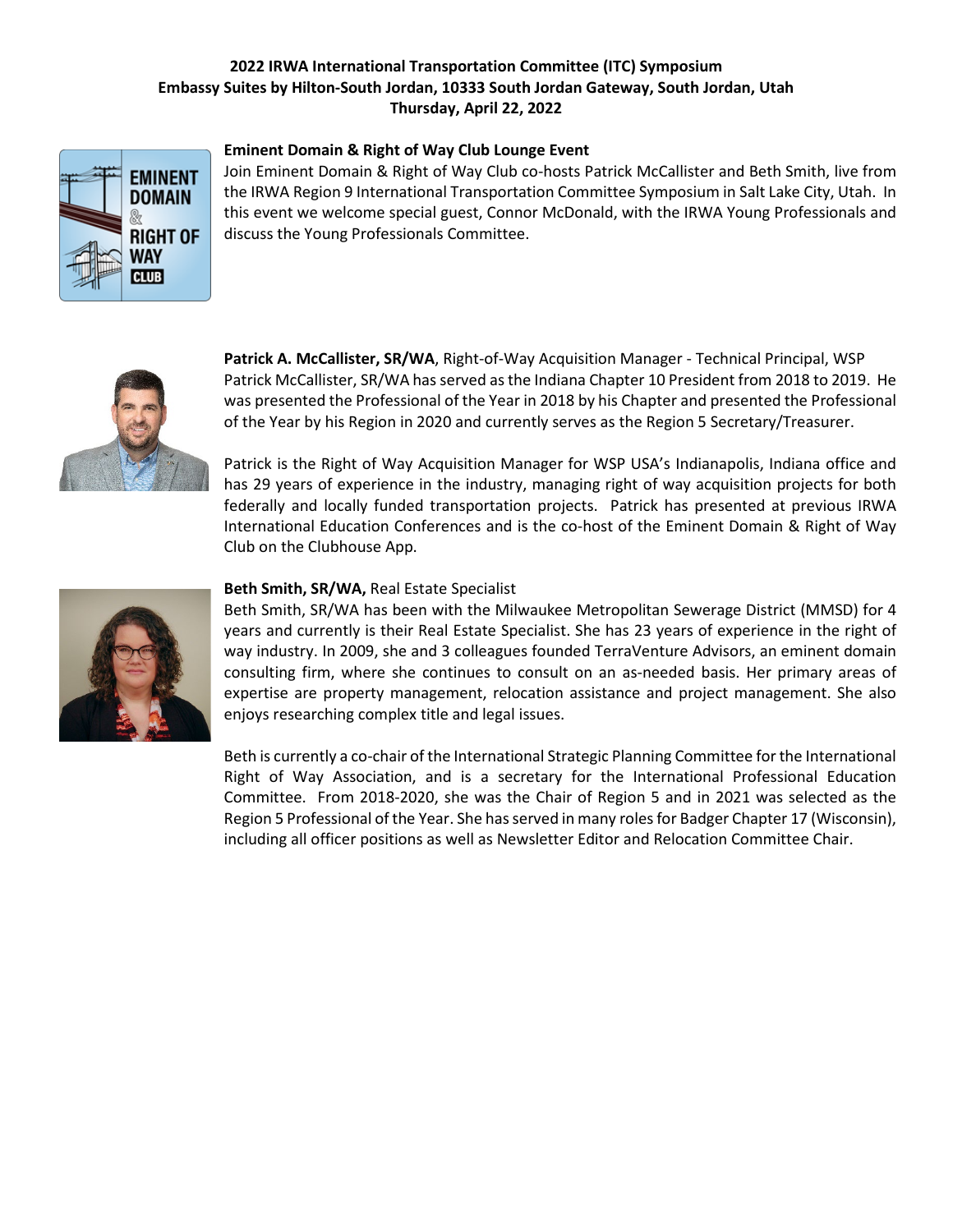![](_page_8_Picture_1.jpeg)

#### **Eminent Domain & Right of Way Club Lounge Event**

Join Eminent Domain & Right of Way Club co-hosts Patrick McCallister and Beth Smith, live from the IRWA Region 9 International Transportation Committee Symposium in Salt Lake City, Utah. In this event we welcome special guest, Connor McDonald, with the IRWA Young Professionals and discuss the Young Professionals Committee.

![](_page_8_Picture_4.jpeg)

**Patrick A. McCallister, SR/WA**, Right-of-Way Acquisition Manager - Technical Principal, WSP Patrick McCallister, SR/WA has served as the Indiana Chapter 10 President from 2018 to 2019. He was presented the Professional of the Year in 2018 by his Chapter and presented the Professional of the Year by his Region in 2020 and currently serves as the Region 5 Secretary/Treasurer.

Patrick is the Right of Way Acquisition Manager for WSP USA's Indianapolis, Indiana office and has 29 years of experience in the industry, managing right of way acquisition projects for both federally and locally funded transportation projects. Patrick has presented at previous IRWA International Education Conferences and is the co-host of the Eminent Domain & Right of Way Club on the Clubhouse App.

![](_page_8_Picture_7.jpeg)

## **Beth Smith, SR/WA,** Real Estate Specialist

Beth Smith, SR/WA has been with the Milwaukee Metropolitan Sewerage District (MMSD) for 4 years and currently is their Real Estate Specialist. She has 23 years of experience in the right of way industry. In 2009, she and 3 colleagues founded TerraVenture Advisors, an eminent domain consulting firm, where she continues to consult on an as-needed basis. Her primary areas of expertise are property management, relocation assistance and project management. She also enjoys researching complex title and legal issues.

Beth is currently a co-chair of the International Strategic Planning Committee for the International Right of Way Association, and is a secretary for the International Professional Education Committee. From 2018-2020, she was the Chair of Region 5 and in 2021 was selected as the Region 5 Professional of the Year. She has served in many roles for Badger Chapter 17 (Wisconsin), including all officer positions as well as Newsletter Editor and Relocation Committee Chair.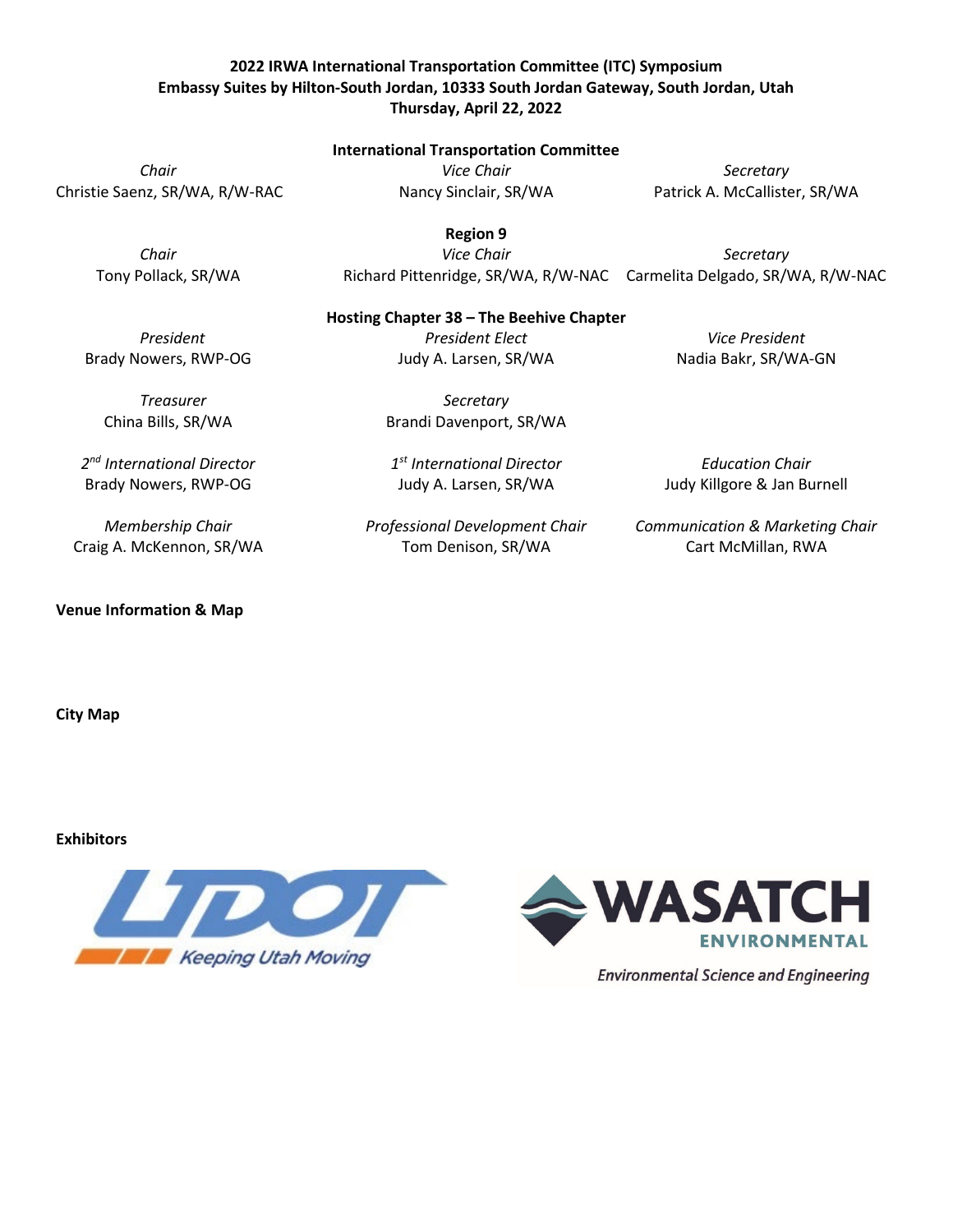#### **International Transportation Committee**

Christie Saenz, SR/WA, R/W-RAC Nancy Sinclair, SR/WA Patrick A. McCallister, SR/WA

*Chair Vice Chair Secretary*

*Chair Vice Chair Secretary* Tony Pollack, SR/WA Richard Pittenridge, SR/WA, R/W-NAC Carmelita Delgado, SR/WA, R/W-NAC

#### **Hosting Chapter 38 – The Beehive Chapter**

*Treasurer Secretary* China Bills, SR/WA Brandi Davenport, SR/WA

*2nd International Director 1st International Director Education Chair* Brady Nowers, RWP-OG Judy A. Larsen, SR/WA Judy Killgore & Jan Burnell

**Venue Information & Map**

**City Map**

## **Exhibitors**

![](_page_9_Picture_17.jpeg)

![](_page_9_Picture_18.jpeg)

**Environmental Science and Engineering** 

Craig A. McKennon, SR/WA Tom Denison, SR/WA Cart McMillan, RWA

*Membership Chair Professional Development Chair Communication & Marketing Chair*

*President President Elect Vice President* Brady Nowers, RWP-OG The Mudy A. Larsen, SR/WA Nadia Bakr, SR/WA-GN

**Region 9**